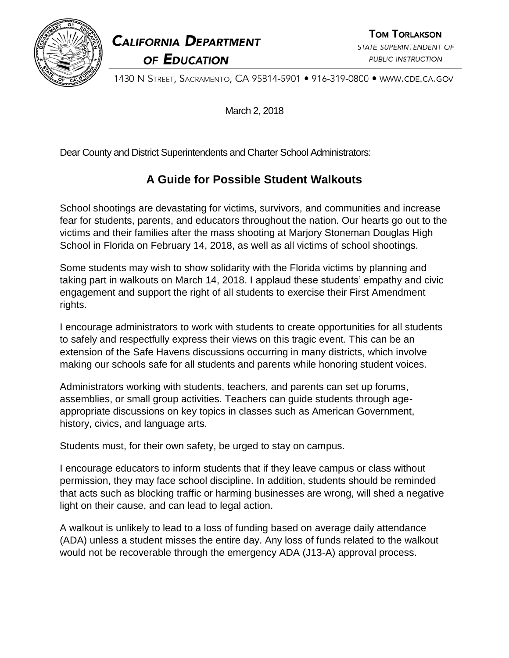

**CALIFORNIA DEPARTMENT** OF EDUCATION

**TOM TORLAKSON** STATE SUPERINTENDENT OF **PUBLIC INSTRUCTION** 

1430 N STREET, SACRAMENTO, CA 95814-5901 • 916-319-0800 • WWW.CDE.CA.GOV

March 2, 2018

Dear County and District Superintendents and Charter School Administrators:

## **A Guide for Possible Student Walkouts**

School shootings are devastating for victims, survivors, and communities and increase fear for students, parents, and educators throughout the nation. Our hearts go out to the victims and their families after the mass shooting at Marjory Stoneman Douglas High School in Florida on February 14, 2018, as well as all victims of school shootings.

Some students may wish to show solidarity with the Florida victims by planning and taking part in walkouts on March 14, 2018. I applaud these students' empathy and civic engagement and support the right of all students to exercise their First Amendment rights.

I encourage administrators to work with students to create opportunities for all students to safely and respectfully express their views on this tragic event. This can be an extension of the Safe Havens discussions occurring in many districts, which involve making our schools safe for all students and parents while honoring student voices.

Administrators working with students, teachers, and parents can set up forums, assemblies, or small group activities. Teachers can guide students through ageappropriate discussions on key topics in classes such as American Government, history, civics, and language arts.

Students must, for their own safety, be urged to stay on campus.

I encourage educators to inform students that if they leave campus or class without permission, they may face school discipline. In addition, students should be reminded that acts such as blocking traffic or harming businesses are wrong, will shed a negative light on their cause, and can lead to legal action.

A walkout is unlikely to lead to a loss of funding based on average daily attendance (ADA) unless a student misses the entire day. Any loss of funds related to the walkout would not be recoverable through the emergency ADA (J13-A) approval process.